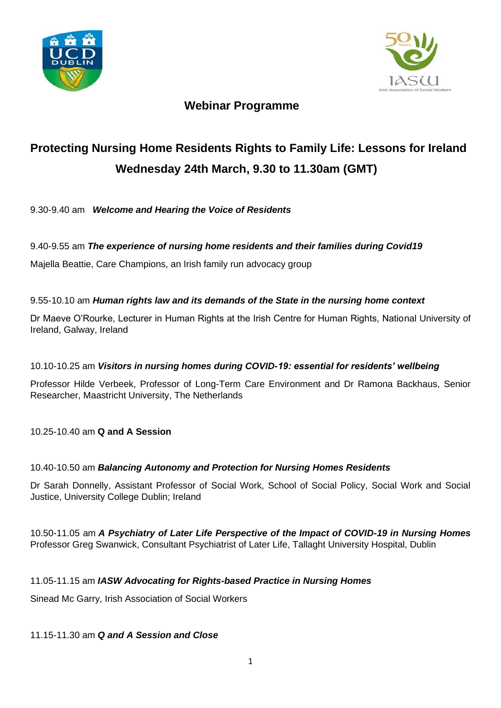



# **Webinar Programme**

# **Protecting Nursing Home Residents Rights to Family Life: Lessons for Ireland Wednesday 24th March, 9.30 to 11.30am (GMT)**

9.30-9.40 am *Welcome and Hearing the Voice of Residents*

## 9.40-9.55 am *The experience of nursing home residents and their families during Covid19*

Majella Beattie, Care Champions, an Irish family run advocacy group

#### 9.55-10.10 am *Human rights law and its demands of the State in the nursing home context*

Dr Maeve O'Rourke, Lecturer in Human Rights at the Irish Centre for Human Rights, National University of Ireland, Galway, Ireland

#### 10.10-10.25 am *Visitors in nursing homes during COVID-19: essential for residents' wellbeing*

Professor Hilde Verbeek, Professor of Long-Term Care Environment and Dr Ramona Backhaus, Senior Researcher, Maastricht University, The Netherlands

10.25-10.40 am **Q and A Session**

## 10.40-10.50 am *Balancing Autonomy and Protection for Nursing Homes Residents*

Dr Sarah Donnelly, Assistant Professor of Social Work, School of Social Policy, Social Work and Social Justice, University College Dublin; Ireland

10.50-11.05 am *A Psychiatry of Later Life Perspective of the Impact of COVID-19 in Nursing Homes*  Professor Greg Swanwick, Consultant Psychiatrist of Later Life, Tallaght University Hospital, Dublin

#### 11.05-11.15 am *IASW Advocating for Rights-based Practice in Nursing Homes*

Sinead Mc Garry, Irish Association of Social Workers

#### 11.15-11.30 am *Q and A Session and Close*